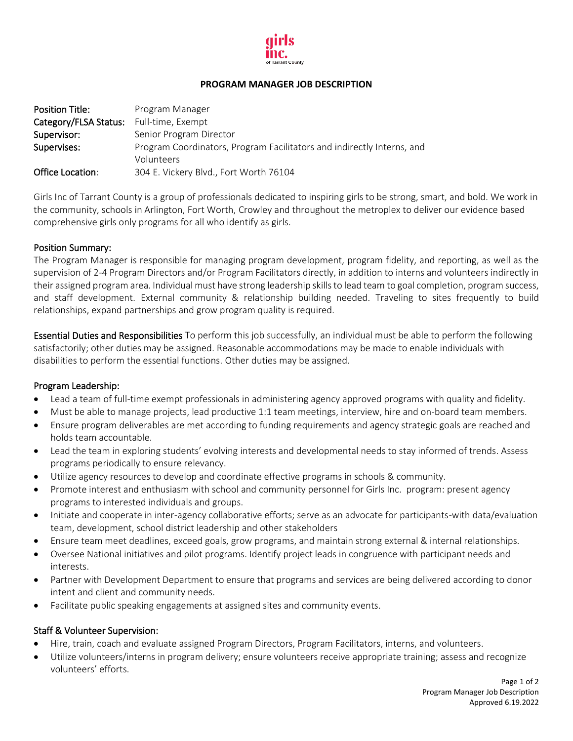

#### **PROGRAM MANAGER JOB DESCRIPTION**

| <b>Position Title:</b> | Program Manager                                                                      |
|------------------------|--------------------------------------------------------------------------------------|
| Category/FLSA Status:  | Full-time, Exempt                                                                    |
| Supervisor:            | Senior Program Director                                                              |
| Supervises:            | Program Coordinators, Program Facilitators and indirectly Interns, and<br>Volunteers |
|                        |                                                                                      |
| Office Location:       | 304 E. Vickery Blvd., Fort Worth 76104                                               |

Girls Inc of Tarrant County is a group of professionals dedicated to inspiring girls to be strong, smart, and bold. We work in the community, schools in Arlington, Fort Worth, Crowley and throughout the metroplex to deliver our evidence based comprehensive girls only programs for all who identify as girls.

#### Position Summary:

The Program Manager is responsible for managing program development, program fidelity, and reporting, as well as the supervision of 2-4 Program Directors and/or Program Facilitators directly, in addition to interns and volunteers indirectly in their assigned program area. Individual must have strong leadership skills to lead team to goal completion, program success, and staff development. External community & relationship building needed. Traveling to sites frequently to build relationships, expand partnerships and grow program quality is required.

Essential Duties and Responsibilities To perform this job successfully, an individual must be able to perform the following satisfactorily; other duties may be assigned. Reasonable accommodations may be made to enable individuals with disabilities to perform the essential functions. Other duties may be assigned.

### Program Leadership:

- Lead a team of full-time exempt professionals in administering agency approved programs with quality and fidelity.
- Must be able to manage projects, lead productive 1:1 team meetings, interview, hire and on-board team members.
- Ensure program deliverables are met according to funding requirements and agency strategic goals are reached and holds team accountable.
- Lead the team in exploring students' evolving interests and developmental needs to stay informed of trends. Assess programs periodically to ensure relevancy.
- Utilize agency resources to develop and coordinate effective programs in schools & community.
- Promote interest and enthusiasm with school and community personnel for Girls Inc. program: present agency programs to interested individuals and groups.
- Initiate and cooperate in inter-agency collaborative efforts; serve as an advocate for participants-with data/evaluation team, development, school district leadership and other stakeholders
- Ensure team meet deadlines, exceed goals, grow programs, and maintain strong external & internal relationships.
- Oversee National initiatives and pilot programs. Identify project leads in congruence with participant needs and interests.
- Partner with Development Department to ensure that programs and services are being delivered according to donor intent and client and community needs.
- Facilitate public speaking engagements at assigned sites and community events.

# Staff & Volunteer Supervision:

- Hire, train, coach and evaluate assigned Program Directors, Program Facilitators, interns, and volunteers.
- Utilize volunteers/interns in program delivery; ensure volunteers receive appropriate training; assess and recognize volunteers' efforts.